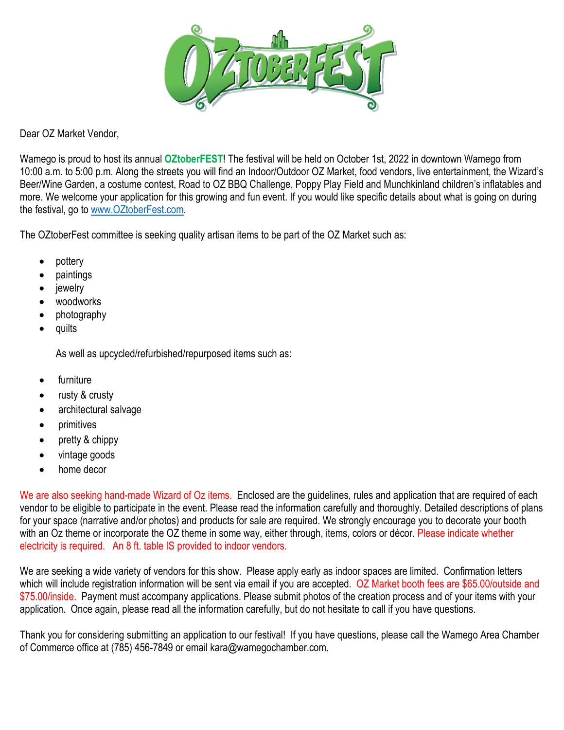

Dear OZ Market Vendor,

Wamego is proud to host its annual **OZtoberFEST**! The festival will be held on October 1st, 2022 in downtown Wamego from 10:00 a.m. to 5:00 p.m. Along the streets you will find an Indoor/Outdoor OZ Market, food vendors, live entertainment, the Wizard's Beer/Wine Garden, a costume contest, Road to OZ BBQ Challenge, Poppy Play Field and Munchkinland children's inflatables and more. We welcome your application for this growing and fun event. If you would like specific details about what is going on during the festival, go to [www.OZtoberFest.com.](http://www.oztoberfest.com/)

The OZtoberFest committee is seeking quality artisan items to be part of the OZ Market such as:

- pottery
- paintings
- **jewelry**
- woodworks
- photography
- quilts

As well as upcycled/refurbished/repurposed items such as:

- **furniture**
- rusty & crusty
- architectural salvage
- primitives
- pretty & chippy
- vintage goods
- home decor

We are also seeking hand-made Wizard of Oz items. Enclosed are the guidelines, rules and application that are required of each vendor to be eligible to participate in the event. Please read the information carefully and thoroughly. Detailed descriptions of plans for your space (narrative and/or photos) and products for sale are required. We strongly encourage you to decorate your booth with an Oz theme or incorporate the OZ theme in some way, either through, items, colors or décor. Please indicate whether electricity is required. An 8 ft. table IS provided to indoor vendors.

We are seeking a wide variety of vendors for this show. Please apply early as indoor spaces are limited. Confirmation letters which will include registration information will be sent via email if you are accepted. OZ Market booth fees are \$65.00/outside and \$75.00/inside. Payment must accompany applications. Please submit photos of the creation process and of your items with your application. Once again, please read all the information carefully, but do not hesitate to call if you have questions.

Thank you for considering submitting an application to our festival! If you have questions, please call the Wamego Area Chamber of Commerce office at (785) 456-7849 or email kara@wamegochamber.com.